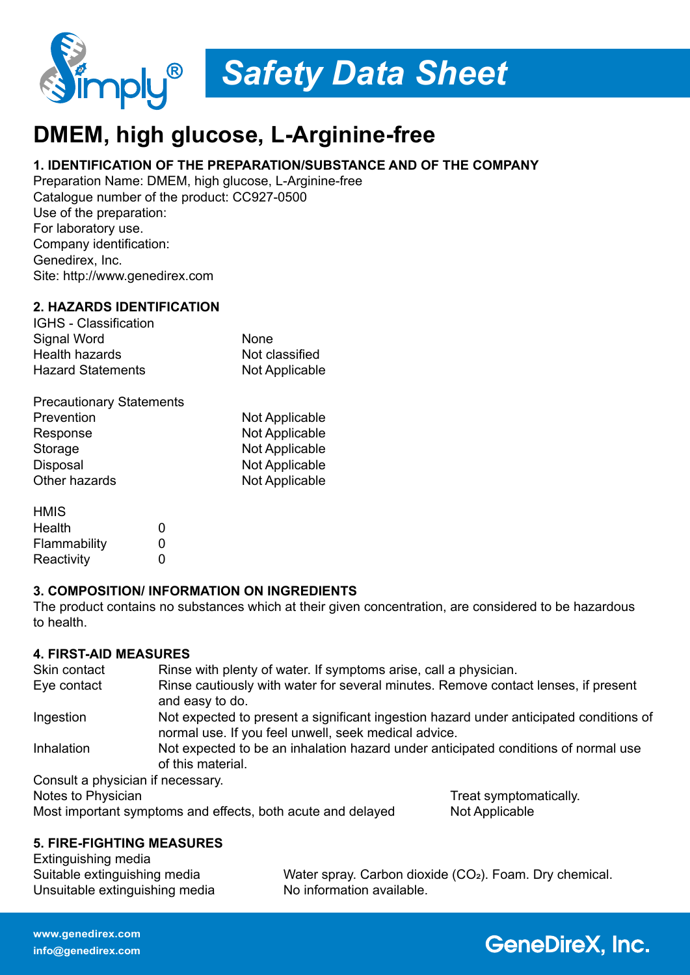

# *Safety Data Sheet*

## **DMEM, high glucose, L-Arginine-free**

#### **1. IDENTIFICATION OF THE PREPARATION/SUBSTANCE AND OF THE COMPANY**

Preparation Name: DMEM, high glucose, L-Arginine-free Catalogue number of the product: CC927-0500 Use of the preparation: For laboratory use. Company identification: Genedirex, Inc. Site: http://www.genedirex.com

#### **2. HAZARDS IDENTIFICATION**

IGHS - Classification Signal Word None Health hazards Hazard Statements Not Applicable

| <b>Precautionary Statements</b> |                |
|---------------------------------|----------------|
| Prevention                      | Not Applicable |
| Response                        | Not Applicable |
| Storage                         | Not Applicable |
| Disposal                        | Not Applicable |
| Other hazards                   | Not Applicable |

| <b>HMIS</b>  |   |
|--------------|---|
| Health       | O |
| Flammability | O |
| Reactivity   | O |

#### **3. COMPOSITION/ INFORMATION ON INGREDIENTS**

The product contains no substances which at their given concentration, are considered to be hazardous to health.

#### **4. FIRST-AID MEASURES**

| Skin contact                      | Rinse with plenty of water. If symptoms arise, call a physician.                                                                               |
|-----------------------------------|------------------------------------------------------------------------------------------------------------------------------------------------|
| Eye contact                       | Rinse cautiously with water for several minutes. Remove contact lenses, if present<br>and easy to do.                                          |
| Ingestion                         | Not expected to present a significant ingestion hazard under anticipated conditions of<br>normal use. If you feel unwell, seek medical advice. |
| Inhalation                        | Not expected to be an inhalation hazard under anticipated conditions of normal use<br>of this material.                                        |
| Consult a physician if necessary. |                                                                                                                                                |

Notes to Physician Notes to Physician Notes to Physician Notes in the Treat symptomatically.

Most important symptoms and effects, both acute and delayed Not Applicable

#### **5. FIRE-FIGHTING MEASURES**

| Extinguishing media            |                                                                     |
|--------------------------------|---------------------------------------------------------------------|
| Suitable extinguishing media   | Water spray. Carbon dioxide (CO <sub>2</sub> ). Foam. Dry chemical. |
| Unsuitable extinguishing media | No information available.                                           |

### **GeneDireX, Inc.**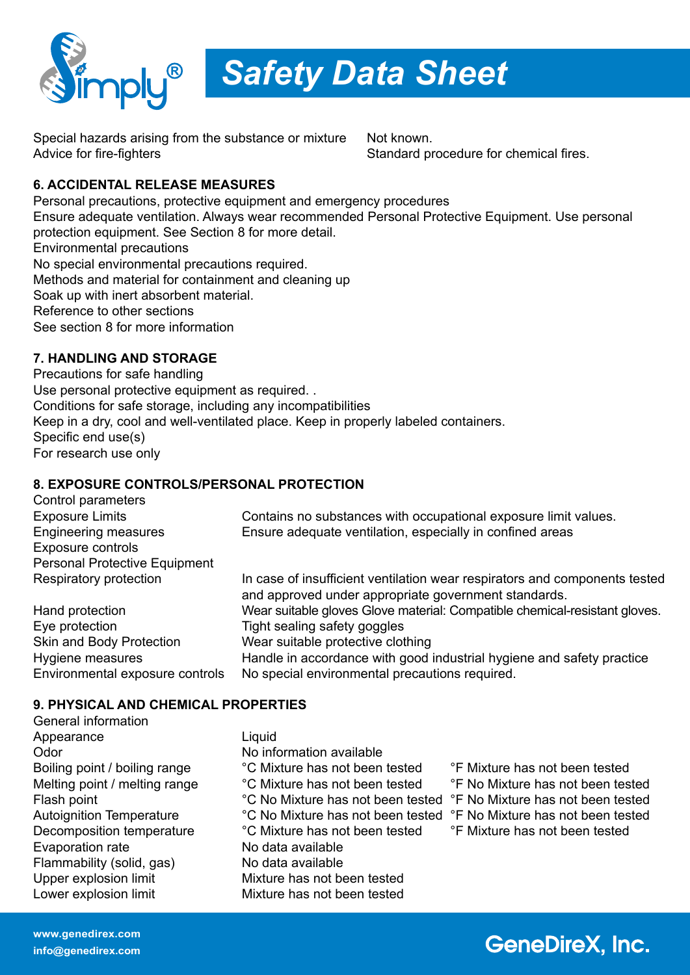

*Safety Data Sheet*

Special hazards arising from the substance or mixture Not known. Advice for fire-fighters  $\sim$  Standard procedure for chemical fires.

#### **6. ACCIDENTAL RELEASE MEASURES**

Personal precautions, protective equipment and emergency procedures Ensure adequate ventilation. Always wear recommended Personal Protective Equipment. Use personal protection equipment. See Section 8 for more detail. Environmental precautions No special environmental precautions required. Methods and material for containment and cleaning up Soak up with inert absorbent material. Reference to other sections See section 8 for more information

#### **7. HANDLING AND STORAGE**

Precautions for safe handling Use personal protective equipment as required. . Conditions for safe storage, including any incompatibilities Keep in a dry, cool and well-ventilated place. Keep in properly labeled containers. Specific end use(s) For research use only

#### **8. EXPOSURE CONTROLS/PERSONAL PROTECTION**

| Control parameters                   |                                                                                                                                    |
|--------------------------------------|------------------------------------------------------------------------------------------------------------------------------------|
| <b>Exposure Limits</b>               | Contains no substances with occupational exposure limit values.                                                                    |
| <b>Engineering measures</b>          | Ensure adequate ventilation, especially in confined areas                                                                          |
| Exposure controls                    |                                                                                                                                    |
| <b>Personal Protective Equipment</b> |                                                                                                                                    |
| Respiratory protection               | In case of insufficient ventilation wear respirators and components tested<br>and approved under appropriate government standards. |
| Hand protection                      | Wear suitable gloves Glove material: Compatible chemical-resistant gloves.                                                         |
| Eye protection                       | Tight sealing safety goggles                                                                                                       |
| <b>Skin and Body Protection</b>      | Wear suitable protective clothing                                                                                                  |
| Hygiene measures                     | Handle in accordance with good industrial hygiene and safety practice                                                              |
| Environmental exposure controls      | No special environmental precautions required.                                                                                     |

#### **9. PHYSICAL AND CHEMICAL PROPERTIES**

- General information Appearance Liquid Odor No information available Boiling point / boiling range <sup>c</sup>C Mixture has not been tested <sup>e</sup>F Mixture has not been tested Melting point / melting range <sup>o</sup>C Mixture has not been tested <sup>o</sup>F No Mixture has not been tested Flash point **Figure 1** <sup>o</sup>C No Mixture has not been tested <sup>o</sup>F No Mixture has not been tested Autoignition Temperature <sup>o</sup>C No Mixture has not been tested <sup>o</sup>F No Mixture has not been tested Decomposition temperature <sup>o</sup>C Mixture has not been tested <sup>o</sup>F Mixture has not been tested Evaporation rate No data available Flammability (solid, gas) No data available Upper explosion limit Mixture has not been tested Lower explosion limit Mixture has not been tested
	-
	-
	-
	-
	-

## **GeneDireX, Inc.**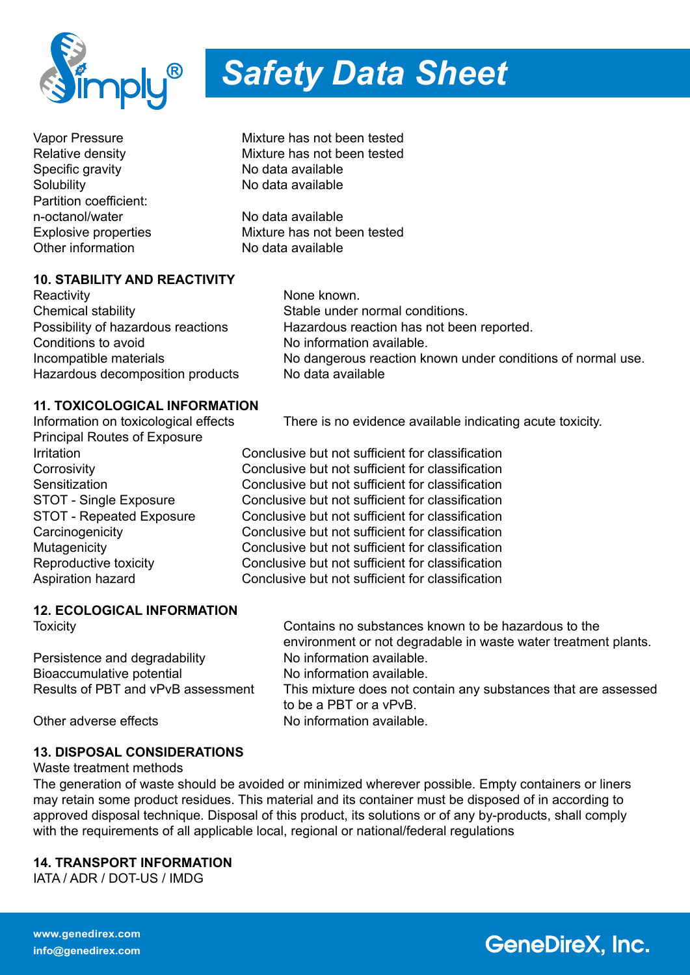

Specific gravity<br>
Solubility<br>
No data available<br>
No data available Partition coefficient: n-octanol/water No data available Other information No data available

#### **10. STABILITY AND REACTIVITY**

Reactivity **None known.** None known. Chemical stability Chemical stability Stable under normal conditions. Conditions to avoid No information available. Hazardous decomposition products No data available

## Possibility of hazardous reactions Hazardous reaction has not been reported. Incompatible materials **No dangerous reaction known under conditions of normal use.**

#### **11. TOXICOLOGICAL INFORMATION**

Principal Routes of Exposure

Information on toxicological effects There is no evidence available indicating acute toxicity.

Irritation Conclusive but not sufficient for classification Corrosivity Conclusive but not sufficient for classification Sensitization Conclusive but not sufficient for classification STOT - Single Exposure Conclusive but not sufficient for classification STOT - Repeated Exposure Conclusive but not sufficient for classification Carcinogenicity Conclusive but not sufficient for classification<br>Mutagenicity Conclusive but not sufficient for classification Conclusive but not sufficient for classification Reproductive toxicity Conclusive but not sufficient for classification Aspiration hazard Conclusive but not sufficient for classification

#### **12. ECOLOGICAL INFORMATION**

Persistence and degradability No information available. Bioaccumulative potential No information available.

Toxicity Contains no substances known to be hazardous to the environment or not degradable in waste water treatment plants. Results of PBT and vPvB assessment This mixture does not contain any substances that are assessed to be a PBT or a vPvB. Other adverse effects No information available.

**GeneDireX, Inc.** 

#### **13. DISPOSAL CONSIDERATIONS**

Waste treatment methods

The generation of waste should be avoided or minimized wherever possible. Empty containers or liners may retain some product residues. This material and its container must be disposed of in according to approved disposal technique. Disposal of this product, its solutions or of any by-products, shall comply with the requirements of all applicable local, regional or national/federal regulations

#### **14. TRANSPORT INFORMATION**

IATA / ADR / DOT-US / IMDG



Vapor Pressure Mixture has not been tested Relative density **Nixture has not been tested** No data available

Explosive properties Mixture has not been tested

**www.genedirex.com info@genedirex.com**